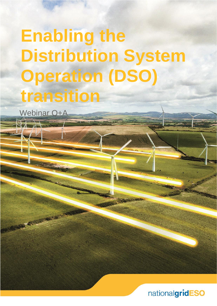# Enabling the **Distribution System Operation (DSO) transition**

Webinar Q+A

nationalgridESO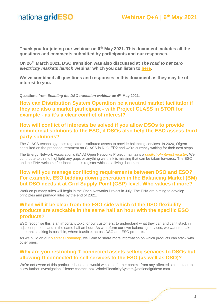### **Webinar Q+A | 6th May 2021**

**Thank you for joining our webinar on 6th May 2021. This document includes all the questions and comments submitted by participants and our responses.**

**On 26th March 2021, DSO transition was also discussed at T***he road to net zero electricity markets launch* **webinar which you can listen to [here.](https://players.brightcove.net/867903724001/9liHKlgsi_default/index.html?videoId=6245374882001)** 

**We've combined all questions and responses in this document as they may be of interest to you.**

**Questions from** *Enabling the DSO transition webinar* **on 6 th May 2021.**

**How can Distribution System Operation be a neutral market facilitator if they are also a market participant - with Project CLASS in STOR for example - as it's a clear conflict of interest?**

#### **How will conflict of interests be solved if you allow DSOs to provide commercial solutions to the ESO, if DSOs also help the ESO assess third party solutions?**

The CLASS technology uses regulated distributed assets to provide balancing services. In 2020, Ofgem consulted on the proposed treatment on CLASS in RIIO-ED2 and we're currently waiting for their next steps.

The Energy Network Association's (ENA) Open Networks Project maintains a *[conflict-of-interest](https://urldefense.com/v3/__https:/www.energynetworks.org/assets/images/ON21-WS3-P2*20CoI*20and*20UC*20Register*20(31*20Mar*2021).zip__;JSUlJSUlJQ!!B3hxM_NYsQ!mhWGvTQulc0oSKzP7dkxLc9G5T7h9rwuiZ5ZAJ2EIruiKUA12WOdMXQ0O1CgZ278cGZjCiwYwvE$) register.* We contribute to this to highlight any gaps or anything we think is missing that can be taken forwards. The ESO and the ENA welcome feedback on this register which is a living document.

#### **How will you manage conflicting requirements between DSO and ESO? For example, ESO bidding down generation in the Balancing Market (BM) but DSO needs it at Grid Supply Point (GSP) level. Who values it more?**

Work on primacy rules will begin in the Open Networks Project in July. The ENA are aiming to develop principles and primacy rules by the end of 2021.

#### **When will it be clear from the ESO side which of the DSO flexibility products are stackable in the same half an hour with the specific ESO products?**

ESO recognise this is an important topic for our customers; to understand what they can and can't stack in adjacent periods and in the same half an hour. As we reform our own balancing services, we want to make sure that stacking is possible, where feasible, across DSO and ESO products.

As we build on our Market's [Roadmap,](https://www.nationalgrideso.com/document/188666/download) we'll aim to share more information on which products can stack with other ones.

#### **Why are you restricting T connected assets selling services to DSOs but allowing D connected to sell services to the ESO (as well as DSO)?**

We're not aware of this particular issue and would welcome further context from any affected stakeholder to allow further investigation. Please contact; box.WholeElectricitySystem@nationalgrideso.com.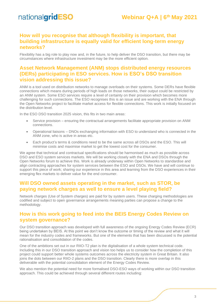#### **How will you recognise that although flexibility is important, that building infrastructure is equally valid for efficient long-term energy networks?**

Flexibility has a big role to play now and, in the future, to help deliver the DSO transition, but there may be circumstances where infrastructure investment may be the more efficient option.

#### **Asset Network Management (ANM) stops distributed energy resources (DERs) participating in ESO services. How is ESO's DSO transition vision addressing this issue?**

ANM is a tool used on distribution networks to manage overloads on their systems. Some DERs have flexible connections which means during periods of high loads on those networks, their output could be restricted by an ANM system. Some ESO services require a level of certainty on their provision which becomes more challenging for such connections. The ESO recognises this is an issue and are working with the ENA through the Open Networks project to facilitate market access for flexible connections. This work is initially focused on the distribution level.

In the ESO DSO transition 2025 vision, this fits in two main areas:

- Service provision ensuring the contractual arrangements facilitate appropriate provision on ANM connections.
- Operational liaisons DNOs exchanging information with ESO to understand who is connected in the ANM zone, who is active in areas etc.
- Each product's terms & conditions need to be the same across all DSOs and the ESO. This will minimise costs and maximise market to get the lowest cost for the consumer.

We agree that technical and contractual specifications should be harmonised as much as possible across DSO and ESO system services markets. We will be working closely with the ENA and DSOs through the Open Networks forum to achieve this. Work is already underway within Open Networks to standardise and align contracting approaches for system services between the ESO and DSOs. We have and will continue to support this piece of work; sharing our experience in this area and learning from the DSO experiences in their emerging flex markets to deliver value for the end consumer.

#### **Will DSO owned assets operating in the market, such as STOR, be paying network charges as well to ensure a level playing field?**

Network charges (Use of System charges) are paid for by system users. These charging methodologies are codified and subject to open governance arrangements meaning parties can propose a change to the methodology.

#### **How is this work going to feed into the BEIS Energy Codes Review on system governance?**

Our DSO transition approach was developed with full awareness of the ongoing Energy Codes Review (ECR) being undertaken by BEIS. At this point we don't know the outcome or timing of the review and what it will mean for the industry codes and frameworks. But one of the elements that has been discussed is the potential rationalisation and consolidation of the codes.

One of the ambitions set out in our RIIO-T2 plan is the digitalisation of a whole system technical code. Including this in our DSO transition approach and vision too helps us to consider how the completion of this project could support better whole systems outcomes across the electricity system in Great Britain. It also joins the dots between our RIIO-2 plans and the DSO transition. Clearly there is more overlap in this deliverable with the potential consolidation element of the Energy Codes Review.

We also mention the potential need for more formalised DSO-ESO ways of working within our DSO transition approach. This could be achieved through several different routes including: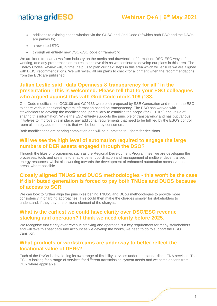- additions to existing codes whether via the CUSC and Grid Code (of which both ESO and the DSOs are parties to)
- a reworked STC
- through an entirely new DSO-ESO code or framework.

We are keen to hear views from industry on the merits and drawbacks of formalised DSO-ESO ways of working, and any preferences on routes to achieve this as we continue to develop our plans in this area. The Energy Codes Review will, in time, help us to plan our next steps in this area which will ensure we are aligned with BEIS' recommendations. We will review all our plans to check for alignment when the recommendations from the ECR are published.

#### **Julian Leslie said "data Openness & transparency for all" in the presentation - this is welcomed. Please tell that to your ESO colleagues who argued against this with Grid Code mods 109 /133.**

Grid Code modifications GC0109 and GC0133 were both proposed by SSE Generation and require the ESO to share various additional system information based on transparency. The ESO has worked with stakeholders to develop the modifications, particularly to establish the scope (for GC0109) and value of sharing this information. While the ESO entirely supports the principle of transparency and has put various initiatives to improve this in place, any additional requirements that need to be fulfilled by the ESO's control room ultimately add to the costs that will be borne by consumers.

Both modifications are nearing completion and will be submitted to Ofgem for decisions.

#### **Will we see the high level of automation required to engage the large numbers of DER assets engaged through the DSO?**

Through the likes of programmes such as the Regional Development Programmes, we are developing the processes, tools and systems to enable better coordination and management of multiple, decentralised energy resources, whilst also working towards the development of enhanced automation across various areas, where possible.

#### **Closely aligned TNUoS and DUOS methodologies - this won't be the case if distributed generation is forced to pay both TNUos and DUOS because of access to SCR.**

We can look to further align the principles behind TNUoS and DUoS methodologies to provide more consistency in charging approaches. This could then make the charges simpler for stakeholders to understand, if they pay one or more element of the charges.

#### **What is the earliest we could have clarity over DSO/ESO revenue stacking and operation? I think we need clarity before 2025.**

We recognise that clarity over revenue stacking and operation is a key requirement for many stakeholders and will take this feedback into account as we develop the works, we need to do to support the DSO transition.

#### **What products or workstreams are underway to better reflect the locational value of DERs?**

Each of the DNOs is developing its own range of flexibility services under the standardised ENA services. The ESO is looking for a range of services for different transmission system needs and welcome options from DER where applicable.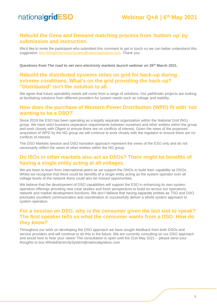#### **Rebuild the Gena and Demand matching process from 'bottom up' by submission and instruction.**

We'd like to invite the participant who submitted this comment to get in touch so we can better understand this suggestion: [box.WholeElectricitySystem@nationalgrideso.com.](mailto:box.WholeElectricitySystem@nationalgrideso.com) Thank you.

**Questions from T***he road to net zero electricity markets launch webinar on* **26th March 2021.**

#### **Rebuild the distributed systems relies on grid for back-up during extreme conditions. What's on the grid providing the back-up? "Distributed" isn't the solution to all.**

We agree that future operability needs will come from a range of solutions. Our pathfinder projects are looking at facilitating solutions from different providers for system needs such as voltage and stability.

#### **How does the purchase of Western Power Distribution (WPD) fit with 'not wanting to be a DSO?'**

Since 2019 the ESO has been operating as a legally separate organisation within the National Grid (NG) group. We have strict business separation requirements between ourselves and other entities within the group and work closely with Ofgem to ensure there are no conflicts of interest. Given the news of the proposed acquisition of WPD by the NG group we will continue to work closely with the regulator to ensure there are no conflicts of interest.

The DSO Markets session and DSO transition approach represent the views of the ESO only and do not necessarily reflect the views of other entities within the NG group.

#### **Do ISOs in other markets also act as DSOs? There might be benefits of having a single entity acting at all voltages.**

We are keen to learn from international peers as we support the DNOs to build their capability as DSOs. Whilst we recognise that there could be benefits of a single entity acting as the system operator over all voltage levels of the network there could also be missed opportunities.

We believe that the development of DSO capabilities will support the ESO in enhancing its own system operation offerings providing new case studies and fresh perspectives to build on across our operations, network and market development functions. We don't believe that having separate entities as TSO and DSO precludes excellent communication and coordination to successfully deliver a whole system approach to system operation.

#### **For a session on DSO, why is the consumer given the last slot to speak? The first speaker tells us what the consumer wants from a DSO. How do they know?**

Throughout our work on developing the DSO approach we have sought feedback from both DSOs and service providers and will continue to do this in the future. We are currently consulting on our DSO approach and would love to hear your views! The consultation is open until the 21st May 2021 – please send your thoughts to box.WholeElectricitySystem@nationalgrideso.com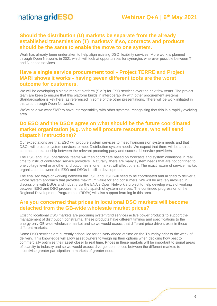#### **Should the distribution (D) markets be separate from the already established transmission (T) markets? If so, contracts and products should be the same to enable the move to one system.**

Work has already been undertaken to help align existing DSO flexibility services. More work is planned through Open Networks in 2021 which will look at opportunities for synergies wherever possible between T and D-based services.

#### **Have a single service procurement tool - Project TERRE and Project MARI shows it works - having seven different tools are the worst outcome for customers.**

We will be developing a single market platform (SMP) for ESO services over the next few years. The project team are keen to ensure that this platform builds in interoperability with other procurement systems. Standardisation is key here, as referenced in some of the other presentations. There will be work initiated in this area through Open Networks.

We've said we want SMP to have interoperability with other systems, recognising that this is a rapidly evolving area.

#### **Do ESO and the DSOs agree on what should be the future coordinated market organization (e.g. who will procure resources, who will send dispatch instructions)?**

Our expectations are that ESO will procure system services to meet Transmission system needs and that DSOs will procure system services to meet Distribution system needs. We expect that there will be a direct contractual relationship between the relevant procuring party and successful service provider/s.

The ESO and DSO operational teams will then coordinate based on forecasts and system conditions in real time to instruct contracted service providers. Naturally, there are many system needs that are not confined to one voltage level or another and outcomes in one market will affect others. The exact nature of service market organisation between the ESO and DSOs is still in development.

The finalised ways of working between the TSO and DSO will need to be coordinated and aligned to deliver a whole system approach that provides maximum value for end consumers. We will be actively involved in discussions with DSOs and industry via the ENA's Open Network's project to help develop ways of working between ESO and DSO procurement and dispatch of system services. The continued progression of the Regional Development Programmes (RDPs) will also support learning in this area.

#### **Are you concerned that prices in locational DSO markets will become detached from the GB-wide wholesale market prices?**

Existing locational DSO markets are procuring system/grid services active power products to support the management of distribution constraints. These products have different timings and specifications to the energy only GB-wide wholesale market and so we would expect that different price drivers exist in these different markets.

Some DSO services are currently scheduled for delivery ahead of time on the Thursday prior to the week of delivery. This knowledge will allow asset owners to weigh up their options when deciding how best to commercially optimise their asset closer to real time. Prices in these markets will be important to signal areas of scarcity to industry and so we would expect divergence in prices between the different markets to incentivise greater participation in markets of greater need.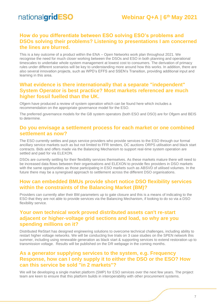#### **How do you differentiate between ESO solving ESO's problems and DSOs solving their problems? Listening to presentations I am concerned the lines are blurred.**

This is a key outcome of a product within the ENA – Open Networks work plan throughout 2021. We recognise the need for much closer working between the DSOs and ESO in both planning and operational timescales to undertake whole system management at lowest cost to consumers. The derivation of primacy rules under different scenarios will be key to understanding more around how this works. In addition, there are also several innovation projects, such as WPD's EFFS and SSEN's Transition, providing additional input and learning in this area.

#### **What evidence is there internationally that a separate "independent" System Operator is best practice? Most markets referenced are much higher fossil fuelled than the UK.**

Ofgem have produced a review of system operation which can be found here which includes a recommendation on the appropriate governance model for the ESO.

The preferred governance models for the GB system operators (both ESO and DSO) are for Ofgem and BEIS to determine.

#### **Do you envisage a settlement process for each market or one combined settlement as now?**

The ESO currently settles and pays service providers who provide services to the ESO through our formal ancillary service markets such as but not limited to FFR tenders, DC auctions ORPS utilisation and black start contracts. Bids and offers made via the Balancing Mechanism to support real-time system operation are settled and paid for via ELEXON.

DSOs are currently settling for their flexibility services themselves. As these markets mature there will need to be increased data flows between their organisations and ELEXON to provide flex providers in DSO markets with the same opportunities as those participating in ESO markets such as ABSVD of utilised volumes. In the future there may be a synergised approach to settlement across the different DSO organisations.

#### **How can embedded BMUs provide short notice DSO flexibility services within the constraints of the Balancing Market (BM)?**

Providers can currently alter their BM parameters up to gate closure and this is a means of indicating to the ESO that they are not able to provide services via the Balancing Mechanism, if looking to do so via a DSO flexibility service.

#### **Your own technical work proved distributed assets can't re-start adjacent or higher-voltage grid sections and load, so why are you spending millions on it?**

Distributed ReStart has designed engineering solutions to overcome technical challenges, including ability to restart higher voltage networks. We will be conducting live trials on 3 case studies on the SPEN network this summer, including using renewable generation as black start & supporting services to extend restoration up to transmission voltage. Results will be published on the DR webpage in the coming months.

#### **As a generator supplying services to the system, e.g. Frequency Response, how can I only supply it to either the DSO or the ESO? How can this service be sold "in 2 markets"?**

We will be developing a single market platform (SMP) for ESO services over the next few years. The project team are keen to ensure that this platform builds in interoperability with other procurement systems.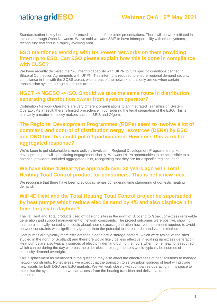## **Webinar Q+A | 6th May 2021**

Standardisation is key here, as referenced in some of the other presentations. There will be work initiated in this area through Open Networks. We've said we want SMP to have interoperability with other systems, recognising that this is a rapidly evolving area.

#### **ESO mentioned working with UK Power Networks on them providing intertrip to ESO. Can ESO please explain how this is done in compliance with CUSC?**

We have recently delivered the N-3 intertrip capability with UKPN to fulfil specific conditions defined in Bilateral Connection Agreements with UKPN. This intertrip is required to ensure regional demand security compliance in line with the SQSS across wide areas of the network and is only armed when certain transmission system outage conditions are met.

#### **NGET -> NGESO -> ISO. Should we take the same route in distribution, separating distribution owner from system operator?**

Distribution Network Operators are very different organisations to an integrated Transmission System Operator. As a result, there is limited precedence in considering the legal separation of the ESO. This is ultimately a matter for policy makers such as BEIS and Ofgem.

#### **The Regional Development Programmes (RDPs) seem to involve a lot of command and control of distribution nergy resources (DERs) by ESO and DNO but this could put off participation. How does this work for aggregated response?**

We're keen to get stakeholders more actively involved in Regional Development Programme market development and will be initiating engagement shortly. We want RDPs opportunities to be accessible to all potential providers, included aggregated units, recognising that they are for a specific regional need.

#### **We have done 4DHeat type approach over 30 years ago with Total Heating Total Control product for consumers. This is not a new idea.**

We recognise that there have been previous schemes considering time staggering of domestic heating demand.

#### **Will 4D Heat and the Total Heating Total Control project be superseded by heat pumps which reduce elec demand by 4/5 and also displace it in time, largely to daytime?**

The 4D Heat and Total products used off gas-grid sites in the north of Scotland to "soak up" excess renewable generation and support management of network constraints. The project outcomes were positive, showing that the electrically heated sites could absorb some excess generation however the amount required to avoid network constraints was significantly greater than the potential to increase demand via this method.

Heat pumps are typically more efficient than older electric storage heaters (which were typical of the sites studied in the north of Scotland) and therefore would likely be less effective in soaking up excess generation. Heat pumps are also typically sources of electricity demand during the hours when home heating is required which can be during the day whereas the older electric storage heaters would typically be sources of electricity demand overnight.

This displacement as mentioned in the question may also affect the effectiveness of heat solutions to manage network constraints. Nonetheless, we expect that the transition to zero-carbon sources of heat will provide new assets for both DSO and ESO markets. We will work closely with companies operating in this space to maximise the system support we can access from the heating transition and deliver value to the end consumer.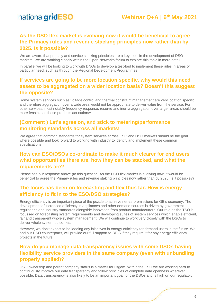#### **As the DSO flex-market is evolving now it would be beneficial to agree the Primacy rules and revenue stacking principles now rather than by 2025. Is it possible?**

We are aware that primacy and service stacking principles are a key topic in the development of DSO markets. We are working closely within the Open Networks forum to explore this topic in more detail.

In parallel we will be looking to work with DNOs to develop a test-bed to implement these rules in areas of particular need, such as through the Regional Development Programmes.

#### **If services are going to be more location specific, why would this need assets to be aggregated on a wider location basis? Doesn't this suggest the opposite?**

Some system services such as voltage control and thermal constraint management are very location specific and therefore aggregation over a wide area would not be appropriate to deliver value from the service. For other services, most notably frequency response, reserve and inertia aggregation over larger areas should be more feasible as these products act nationwide.

#### **(Comment ) Let's agree on, and stick to metering/performance monitoring standards across all markets!**

We agree that common standards for system services across ESO and DSO markets should be the goal where possible and look forward to working with industry to identify and implement these common specifications.

#### **How can ESO/DSOs co-ordinate to make it much clearer for end users what opportunities there are, how they can be stacked, and what the requirements are?**

Please see our response above (to this question: As the DSO flex-market is evolving now, it would be beneficial to agree the Primary rules and revenue staking principles now rather than by 2025. Is it possible?)

#### **The focus has been on forecasting and flex thus far. How is energy efficiency to fit in to the ESO/DSO strategies?**

Energy efficiency is an important piece of the puzzle to achieve net-zero emissions for GB's economy. The development of increased efficiency in appliances and other demand sources is driven by government regulations and industry standards alongside innovation from product manufacturers. Our role as the TSO is focussed on forecasting system requirements and developing suites of system services which enable efficient, fair and transparent whole system management. We will continue to work very closely with the DSOs to deliver whole system outcomes.

However, we don't expect to be leading any initiatives in energy efficiency for demand users in the future. We, and our DSO counterparts, will provide our full support to BEIS if they require it for any energy efficiency projects in the future.

#### **How do you manage data transparency issues with some DSOs having flexibility service providers in the same company (even with unbundling properly applied)?**

DSO ownership and parent company status is a matter for Ofgem. Within the ESO we are working hard to continuously improve our data transparency and follow principles of complete data openness wherever possible. Data transparency is also likely to be an important goal for the DSOs and is high on our regulator,